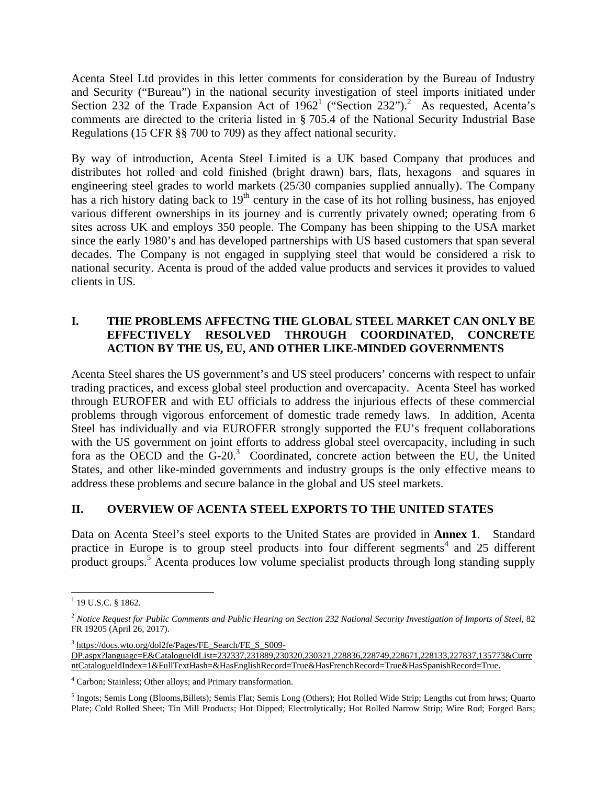Acenta Steel Ltd provides in this letter comments for consideration by the Bureau of Industry and Security ("Bureau") in the national security investigation of steel imports initiated under Section 232 of the Trade Expansion Act of  $1962^1$  ("Section 232").<sup>2</sup> As requested, Acenta's comments are directed to the criteria listed in § 705.4 of the National Security Industrial Base Regulations (15 CFR §§ 700 to 709) as they affect national security.

By way of introduction, Acenta Steel Limited is a UK based Company that produces and distributes hot rolled and cold finished (bright drawn) bars, flats, hexagons and squares in engineering steel grades to world markets (25/30 companies supplied annually). The Company has a rich history dating back to  $19<sup>th</sup>$  century in the case of its hot rolling business, has enjoyed various different ownerships in its journey and is currently privately owned; operating from 6 sites across UK and employs 350 people. The Company has been shipping to the USA market since the early 1980's and has developed partnerships with US based customers that span several decades. The Company is not engaged in supplying steel that would be considered a risk to national security. Acenta is proud of the added value products and services it provides to valued clients in US.

# **I. THE PROBLEMS AFFECTNG THE GLOBAL STEEL MARKET CAN ONLY BE EFFECTIVELY RESOLVED THROUGH COORDINATED, CONCRETE ACTION BY THE US, EU, AND OTHER LIKE-MINDED GOVERNMENTS**

Acenta Steel shares the US government's and US steel producers' concerns with respect to unfair trading practices, and excess global steel production and overcapacity. Acenta Steel has worked through EUROFER and with EU officials to address the injurious effects of these commercial problems through vigorous enforcement of domestic trade remedy laws. In addition, Acenta Steel has individually and via EUROFER strongly supported the EU's frequent collaborations with the US government on joint efforts to address global steel overcapacity, including in such fora as the OECD and the  $G-20$ .<sup>3</sup> Coordinated, concrete action between the EU, the United States, and other like-minded governments and industry groups is the only effective means to address these problems and secure balance in the global and US steel markets.

#### **II. OVERVIEW OF ACENTA STEEL EXPORTS TO THE UNITED STATES**

Data on Acenta Steel's steel exports to the United States are provided in **Annex 1**. Standard practice in Europe is to group steel products into four different segments<sup>4</sup> and 25 different product groups.<sup>5</sup> Acenta produces low volume specialist products through long standing supply

l <sup>1</sup> 19 U.S.C. § 1862.

<sup>2</sup> *Notice Request for Public Comments and Public Hearing on Section 232 National Security Investigation of Imports of Steel*, 82 FR 19205 (April 26, 2017).

<sup>&</sup>lt;sup>3</sup> https://docs.wto.org/dol2fe/Pages/FE\_Search/FE\_S\_S009-DP.aspx?language=E&CatalogueIdList=232337,231889,230320,230321,228836,228749,228671,228133,227837,135773&Curre ntCatalogueIdIndex=1&FullTextHash=&HasEnglishRecord=True&HasFrenchRecord=True&HasSpanishRecord=True.

<sup>&</sup>lt;sup>4</sup> Carbon; Stainless; Other alloys; and Primary transformation.

<sup>&</sup>lt;sup>5</sup> Ingots; Semis Long (Blooms,Billets); Semis Flat; Semis Long (Others); Hot Rolled Wide Strip; Lengths cut from hrws; Quarto Plate; Cold Rolled Sheet; Tin Mill Products; Hot Dipped; Electrolytically; Hot Rolled Narrow Strip; Wire Rod; Forged Bars;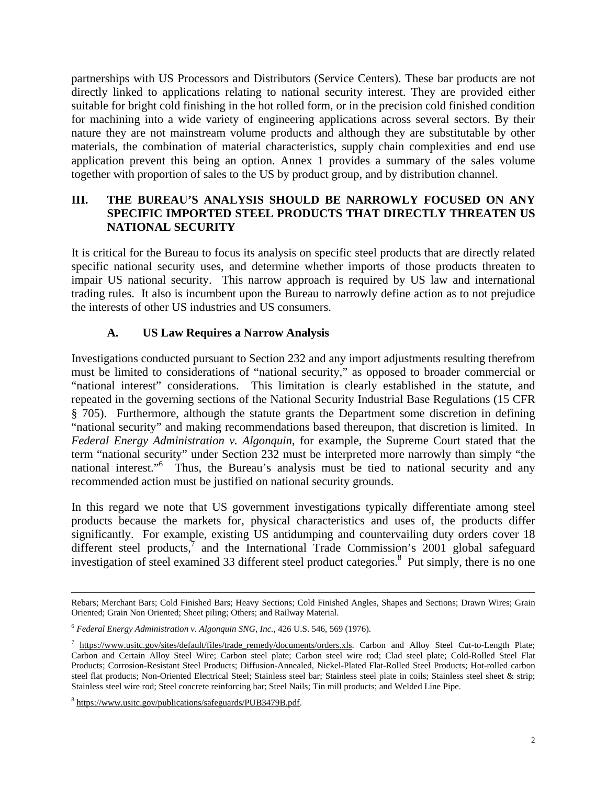partnerships with US Processors and Distributors (Service Centers). These bar products are not directly linked to applications relating to national security interest. They are provided either suitable for bright cold finishing in the hot rolled form, or in the precision cold finished condition for machining into a wide variety of engineering applications across several sectors. By their nature they are not mainstream volume products and although they are substitutable by other materials, the combination of material characteristics, supply chain complexities and end use application prevent this being an option. Annex 1 provides a summary of the sales volume together with proportion of sales to the US by product group, and by distribution channel.

#### **III. THE BUREAU'S ANALYSIS SHOULD BE NARROWLY FOCUSED ON ANY SPECIFIC IMPORTED STEEL PRODUCTS THAT DIRECTLY THREATEN US NATIONAL SECURITY**

It is critical for the Bureau to focus its analysis on specific steel products that are directly related specific national security uses, and determine whether imports of those products threaten to impair US national security. This narrow approach is required by US law and international trading rules. It also is incumbent upon the Bureau to narrowly define action as to not prejudice the interests of other US industries and US consumers.

# **A. US Law Requires a Narrow Analysis**

Investigations conducted pursuant to Section 232 and any import adjustments resulting therefrom must be limited to considerations of "national security," as opposed to broader commercial or "national interest" considerations. This limitation is clearly established in the statute, and repeated in the governing sections of the National Security Industrial Base Regulations (15 CFR § 705). Furthermore, although the statute grants the Department some discretion in defining "national security" and making recommendations based thereupon, that discretion is limited. In *Federal Energy Administration v. Algonquin*, for example, the Supreme Court stated that the term "national security" under Section 232 must be interpreted more narrowly than simply "the national interest."<sup>6</sup> Thus, the Bureau's analysis must be tied to national security and any recommended action must be justified on national security grounds.

In this regard we note that US government investigations typically differentiate among steel products because the markets for, physical characteristics and uses of, the products differ significantly. For example, existing US antidumping and countervailing duty orders cover 18 different steel products, $\bar{7}$  and the International Trade Commission's 2001 global safeguard investigation of steel examined 33 different steel product categories.<sup>8</sup> Put simply, there is no one

Rebars; Merchant Bars; Cold Finished Bars; Heavy Sections; Cold Finished Angles, Shapes and Sections; Drawn Wires; Grain Oriented; Grain Non Oriented; Sheet piling; Others; and Railway Material.

<sup>6</sup> *Federal Energy Administration v. Algonquin SNG, Inc.*, 426 U.S. 546, 569 (1976).

<sup>&</sup>lt;sup>7</sup> https://www.usitc.gov/sites/default/files/trade\_remedy/documents/orders.xls. Carbon and Alloy Steel Cut-to-Length Plate; Carbon and Certain Alloy Steel Wire; Carbon steel plate; Carbon steel wire rod; Clad steel plate; Cold-Rolled Steel Flat Products; Corrosion-Resistant Steel Products; Diffusion-Annealed, Nickel-Plated Flat-Rolled Steel Products; Hot-rolled carbon steel flat products; Non-Oriented Electrical Steel; Stainless steel bar; Stainless steel plate in coils; Stainless steel sheet & strip; Stainless steel wire rod; Steel concrete reinforcing bar; Steel Nails; Tin mill products; and Welded Line Pipe.

<sup>&</sup>lt;sup>8</sup> https://www.usitc.gov/publications/safeguards/PUB3479B.pdf.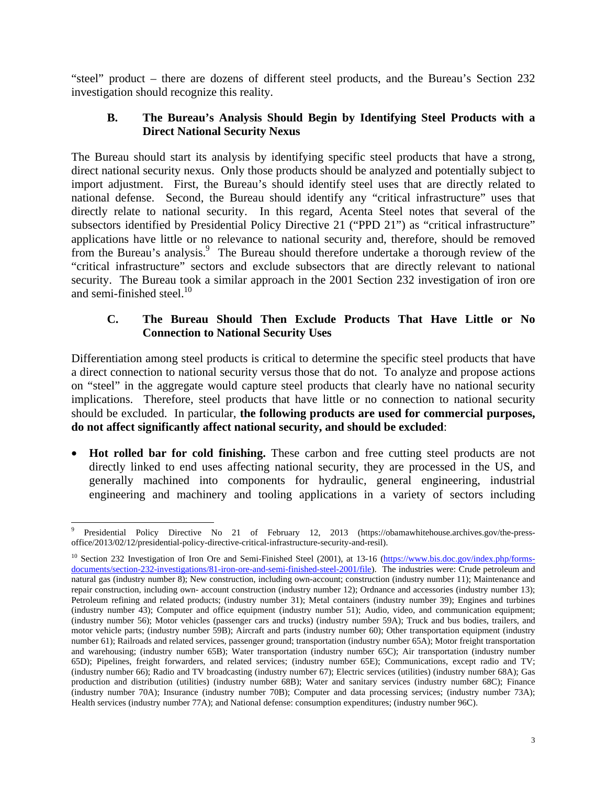"steel" product – there are dozens of different steel products, and the Bureau's Section 232 investigation should recognize this reality.

#### **B. The Bureau's Analysis Should Begin by Identifying Steel Products with a Direct National Security Nexus**

The Bureau should start its analysis by identifying specific steel products that have a strong, direct national security nexus. Only those products should be analyzed and potentially subject to import adjustment. First, the Bureau's should identify steel uses that are directly related to national defense. Second, the Bureau should identify any "critical infrastructure" uses that directly relate to national security. In this regard, Acenta Steel notes that several of the subsectors identified by Presidential Policy Directive 21 ("PPD 21") as "critical infrastructure" applications have little or no relevance to national security and, therefore, should be removed from the Bureau's analysis.<sup>9</sup> The Bureau should therefore undertake a thorough review of the "critical infrastructure" sectors and exclude subsectors that are directly relevant to national security. The Bureau took a similar approach in the 2001 Section 232 investigation of iron ore and semi-finished steel. $10<sup>10</sup>$ 

#### **C. The Bureau Should Then Exclude Products That Have Little or No Connection to National Security Uses**

Differentiation among steel products is critical to determine the specific steel products that have a direct connection to national security versus those that do not. To analyze and propose actions on "steel" in the aggregate would capture steel products that clearly have no national security implications. Therefore, steel products that have little or no connection to national security should be excluded. In particular, **the following products are used for commercial purposes, do not affect significantly affect national security, and should be excluded**:

• **Hot rolled bar for cold finishing.** These carbon and free cutting steel products are not directly linked to end uses affecting national security, they are processed in the US, and generally machined into components for hydraulic, general engineering, industrial engineering and machinery and tooling applications in a variety of sectors including

l 9 Presidential Policy Directive No 21 of February 12, 2013 (https://obamawhitehouse.archives.gov/the-pressoffice/2013/02/12/presidential-policy-directive-critical-infrastructure-security-and-resil).

 $^{10}$  Section 232 Investigation of Iron Ore and Semi-Finished Steel (2001), at 13-16 (https://www.bis.doc.gov/index.php/formsdocuments/section-232-investigations/81-iron-ore-and-semi-finished-steel-2001/file). The industries were: Crude petroleum and natural gas (industry number 8); New construction, including own-account; construction (industry number 11); Maintenance and repair construction, including own- account construction (industry number 12); Ordnance and accessories (industry number 13); Petroleum refining and related products; (industry number 31); Metal containers (industry number 39); Engines and turbines (industry number 43); Computer and office equipment (industry number 51); Audio, video, and communication equipment; (industry number 56); Motor vehicles (passenger cars and trucks) (industry number 59A); Truck and bus bodies, trailers, and motor vehicle parts; (industry number 59B); Aircraft and parts (industry number 60); Other transportation equipment (industry number 61); Railroads and related services, passenger ground; transportation (industry number 65A); Motor freight transportation and warehousing; (industry number 65B); Water transportation (industry number 65C); Air transportation (industry number 65D); Pipelines, freight forwarders, and related services; (industry number 65E); Communications, except radio and TV; (industry number 66); Radio and TV broadcasting (industry number 67); Electric services (utilities) (industry number 68A); Gas production and distribution (utilities) (industry number 68B); Water and sanitary services (industry number 68C); Finance (industry number 70A); Insurance (industry number 70B); Computer and data processing services; (industry number 73A); Health services (industry number 77A); and National defense: consumption expenditures; (industry number 96C).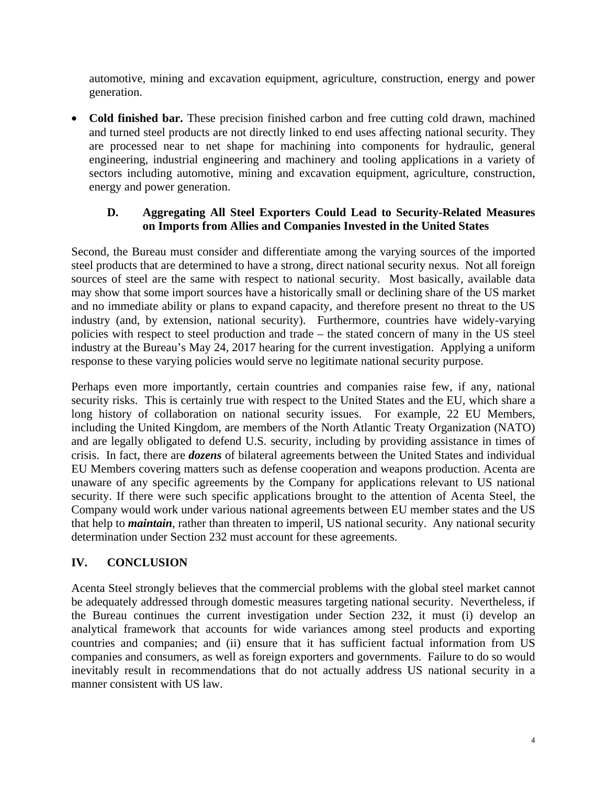automotive, mining and excavation equipment, agriculture, construction, energy and power generation.

• **Cold finished bar.** These precision finished carbon and free cutting cold drawn, machined and turned steel products are not directly linked to end uses affecting national security. They are processed near to net shape for machining into components for hydraulic, general engineering, industrial engineering and machinery and tooling applications in a variety of sectors including automotive, mining and excavation equipment, agriculture, construction, energy and power generation.

## **D. Aggregating All Steel Exporters Could Lead to Security-Related Measures on Imports from Allies and Companies Invested in the United States**

Second, the Bureau must consider and differentiate among the varying sources of the imported steel products that are determined to have a strong, direct national security nexus. Not all foreign sources of steel are the same with respect to national security. Most basically, available data may show that some import sources have a historically small or declining share of the US market and no immediate ability or plans to expand capacity, and therefore present no threat to the US industry (and, by extension, national security). Furthermore, countries have widely-varying policies with respect to steel production and trade – the stated concern of many in the US steel industry at the Bureau's May 24, 2017 hearing for the current investigation. Applying a uniform response to these varying policies would serve no legitimate national security purpose.

Perhaps even more importantly, certain countries and companies raise few, if any, national security risks. This is certainly true with respect to the United States and the EU, which share a long history of collaboration on national security issues. For example, 22 EU Members, including the United Kingdom, are members of the North Atlantic Treaty Organization (NATO) and are legally obligated to defend U.S. security, including by providing assistance in times of crisis. In fact, there are *dozens* of bilateral agreements between the United States and individual EU Members covering matters such as defense cooperation and weapons production. Acenta are unaware of any specific agreements by the Company for applications relevant to US national security. If there were such specific applications brought to the attention of Acenta Steel, the Company would work under various national agreements between EU member states and the US that help to *maintain*, rather than threaten to imperil, US national security. Any national security determination under Section 232 must account for these agreements.

# **IV. CONCLUSION**

Acenta Steel strongly believes that the commercial problems with the global steel market cannot be adequately addressed through domestic measures targeting national security. Nevertheless, if the Bureau continues the current investigation under Section 232, it must (i) develop an analytical framework that accounts for wide variances among steel products and exporting countries and companies; and (ii) ensure that it has sufficient factual information from US companies and consumers, as well as foreign exporters and governments. Failure to do so would inevitably result in recommendations that do not actually address US national security in a manner consistent with US law